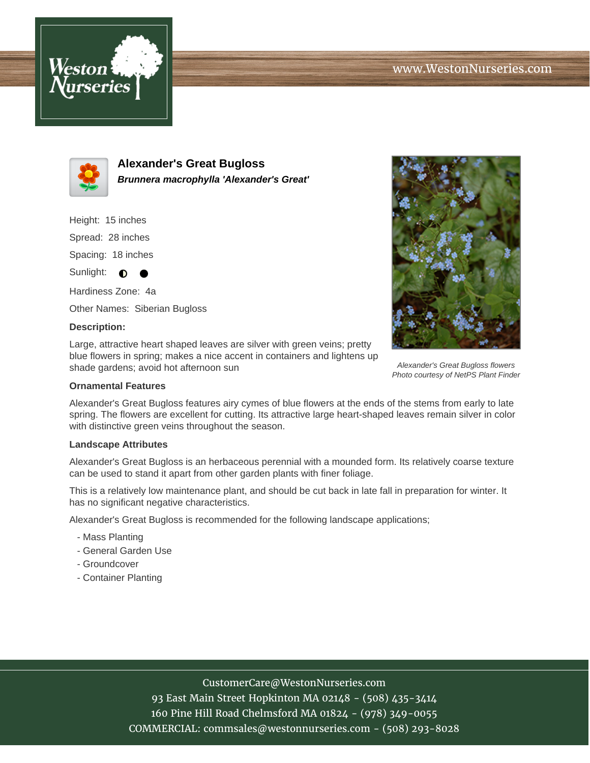



**Alexander's Great Bugloss Brunnera macrophylla 'Alexander's Great'**

Height: 15 inches Spread: 28 inches Spacing: 18 inches

Sunlight:  $\bullet$  $\bullet$ 

Hardiness Zone: 4a Other Names: Siberian Bugloss

### **Description:**

Large, attractive heart shaped leaves are silver with green veins; pretty blue flowers in spring; makes a nice accent in containers and lightens up shade gardens; avoid hot afternoon sun

# **Ornamental Features**

Alexander's Great Bugloss features airy cymes of blue flowers at the ends of the stems from early to late spring. The flowers are excellent for cutting. Its attractive large heart-shaped leaves remain silver in color with distinctive green veins throughout the season.

#### **Landscape Attributes**

Alexander's Great Bugloss is an herbaceous perennial with a mounded form. Its relatively coarse texture can be used to stand it apart from other garden plants with finer foliage.

This is a relatively low maintenance plant, and should be cut back in late fall in preparation for winter. It has no significant negative characteristics.

Alexander's Great Bugloss is recommended for the following landscape applications;

- Mass Planting
- General Garden Use
- Groundcover
- Container Planting



Alexander's Great Bugloss flowers Photo courtesy of NetPS Plant Finder

# CustomerCare@WestonNurseries.com

93 East Main Street Hopkinton MA 02148 - (508) 435-3414 160 Pine Hill Road Chelmsford MA 01824 - (978) 349-0055 COMMERCIAL: commsales@westonnurseries.com - (508) 293-8028